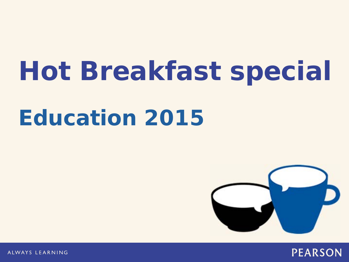# **Hot Breakfast special Education 2015**



**PEARSON** 

ALWAYS LEARNING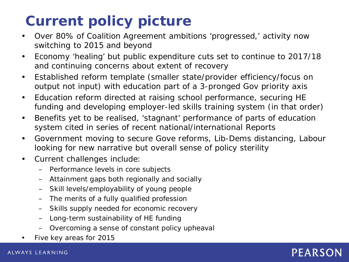## **Current policy picture**

- Over 80% of Coalition Agreement ambitions 'progressed,' activity now switching to 2015 and beyond
- Economy 'healing' but public expenditure cuts set to continue to 2017/18 and continuing concerns about extent of recovery
- Established reform template (smaller state/provider efficiency/focus on output not input) with education part of a 3-pronged Gov priority axis
- Education reform directed at raising school performance, securing HE funding and developing employer-led skills training system (in that order)
- Benefits yet to be realised, 'stagnant' performance of parts of education system cited in series of recent national/international Reports
- Government moving to secure Gove reforms, Lib-Dems distancing, Labour looking for new narrative but overall sense of policy sterility
- Current challenges include:
	- Performance levels in core subjects
	- Attainment gaps both regionally and socially
	- Skill levels/employability of young people
	- The merits of a fully qualified profession
	- Skills supply needed for economic recovery
	- Long-term sustainability of HE funding
	- Overcoming a sense of constant policy upheaval
- Five key areas for 2015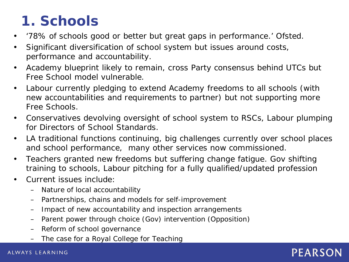## **1. Schools**

- *'78% of schools good or better but great gaps in performance.'* Ofsted.
- Significant diversification of school system but issues around costs, performance and accountability.
- Academy blueprint likely to remain, cross Party consensus behind UTCs but Free School model vulnerable.
- Labour currently pledging to extend Academy freedoms to all schools (with new accountabilities and requirements to partner) but not supporting more Free Schools.
- Conservatives devolving oversight of school system to RSCs, Labour plumping for Directors of School Standards.
- LA traditional functions continuing, big challenges currently over school places and school performance, many other services now commissioned.
- Teachers granted new freedoms but suffering change fatigue. Gov shifting training to schools, Labour pitching for a fully qualified/updated profession
- Current issues include:
	- Nature of local accountability
	- Partnerships, chains and models for self-improvement
	- Impact of new accountability and inspection arrangements
	- Parent power through choice (Gov) intervention (Opposition)
	- Reform of school governance
	- The case for a Royal College for Teaching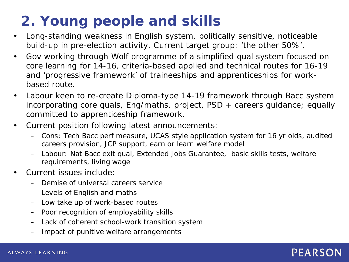## **2. Young people and skills**

- Long-standing weakness in English system, politically sensitive, noticeable build-up in pre-election activity. Current target group: *'the other 50%'.*
- Gov working through Wolf programme of a simplified qual system focused on core learning for 14-16, criteria-based applied and technical routes for 16-19 and 'progressive framework' of traineeships and apprenticeships for workbased route.
- Labour keen to re-create Diploma-type 14-19 framework through Bacc system incorporating core quals, Eng/maths, project, PSD + careers guidance; equally committed to apprenticeship framework.
- Current position following latest announcements:
	- Cons: Tech Bacc perf measure, UCAS style application system for 16 yr olds, audited careers provision, JCP support, earn or learn welfare model
	- Labour: Nat Bacc exit qual, Extended Jobs Guarantee, basic skills tests, welfare requirements, living wage
- Current issues include:
	- Demise of universal careers service
	- Levels of English and maths
	- Low take up of work-based routes
	- Poor recognition of employability skills
	- Lack of coherent school-work transition system
	- Impact of punitive welfare arrangements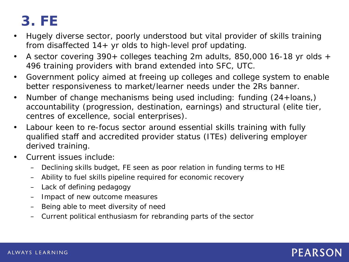## **3. FE**

- Hugely diverse sector, poorly understood but vital provider of skills training from disaffected  $14+$  yr olds to high-level prof updating.
- A sector covering 390+ colleges teaching 2m adults, 850,000 16-18 yr olds + 496 training providers with brand extended into SFC, UTC.
- Government policy aimed at freeing up colleges and college system to enable better responsiveness to market/learner needs under the 2Rs banner.
- Number of change mechanisms being used including: funding (24+loans,) accountability (progression, destination, earnings) and structural (elite tier, centres of excellence, social enterprises).
- Labour keen to re-focus sector around essential skills training with fully qualified staff and accredited provider status (ITEs) delivering employer derived training.
- Current issues include:
	- Declining skills budget, FE seen as poor relation in funding terms to HE
	- Ability to fuel skills pipeline required for economic recovery
	- Lack of defining pedagogy
	- Impact of new outcome measures
	- Being able to meet diversity of need
	- Current political enthusiasm for rebranding parts of the sector

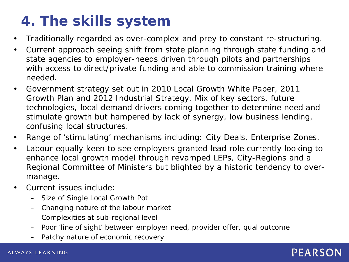## **4. The skills system**

- Traditionally regarded as over-complex and prey to constant re-structuring.
- Current approach seeing shift from state planning through state funding and state agencies to employer-needs driven through pilots and partnerships with access to direct/private funding and able to commission training where needed.
- Government strategy set out in 2010 Local Growth White Paper, 2011 Growth Plan and 2012 Industrial Strategy. Mix of key sectors, future technologies, local demand drivers coming together to determine need and stimulate growth but hampered by lack of synergy, low business lending, confusing local structures.
- Range of 'stimulating' mechanisms including: City Deals, Enterprise Zones.
- Labour equally keen to see employers granted lead role currently looking to enhance local growth model through revamped LEPs, City-Regions and a Regional Committee of Ministers but blighted by a historic tendency to overmanage.
- Current issues include:
	- Size of Single Local Growth Pot
	- Changing nature of the labour market
	- Complexities at sub-regional level
	- Poor 'line of sight' between employer need, provider offer, qual outcome
	- Patchy nature of economic recovery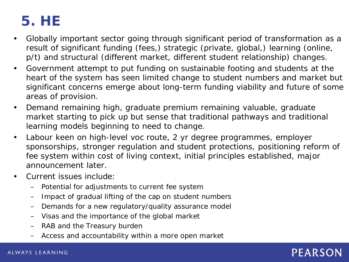## **5. HE**

- Globally important sector going through significant period of transformation as a result of significant funding (fees,) strategic (private, global,) learning (online, p/t) and structural (different market, different student relationship) changes.
- Government attempt to put funding on sustainable footing and students at the heart of the system has seen limited change to student numbers and market but significant concerns emerge about long-term funding viability and future of some areas of provision.
- Demand remaining high, graduate premium remaining valuable, graduate market starting to pick up but sense that traditional pathways and traditional learning models beginning to need to change.
- Labour keen on high-level voc route, 2 yr degree programmes, employer sponsorships, stronger regulation and student protections, positioning reform of fee system within cost of living context, initial principles established, major announcement later.
- Current issues include:
	- Potential for adjustments to current fee system
	- Impact of gradual lifting of the cap on student numbers
	- Demands for a new regulatory/quality assurance model
	- Visas and the importance of the global market
	- RAB and the Treasury burden
	- Access and accountability within a more open market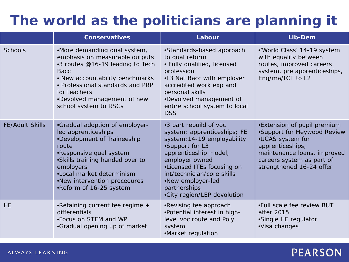### **The world as the politicians are planning it**

|                        | <b>Conservatives</b>                                                                                                                                                                                                                                             | Labour                                                                                                                                                                                                                                                                             | Lib-Dem                                                                                                                                                                                    |
|------------------------|------------------------------------------------------------------------------------------------------------------------------------------------------------------------------------------------------------------------------------------------------------------|------------------------------------------------------------------------------------------------------------------------------------------------------------------------------------------------------------------------------------------------------------------------------------|--------------------------------------------------------------------------------------------------------------------------------------------------------------------------------------------|
| <b>Schools</b>         | •More demanding qual system,<br>emphasis on measurable outputs<br>•3 routes @16-19 leading to Tech<br><b>Bacc</b><br>• New accountability benchmarks<br>• Professional standards and PRP<br>for teachers<br>•Devolved management of new<br>school system to RSCs | •Standards-based approach<br>to qual reform<br>• Fully qualified, licensed<br>profession<br>•L3 Nat Bacc with employer<br>accredited work exp and<br>personal skills<br>•Devolved management of<br>entire school system to local<br><b>DSS</b>                                     | •'World Class' 14-19 system<br>with equality between<br>routes, improved careers<br>system, pre apprenticeships,<br>Eng/ma/ICT to L2                                                       |
| <b>FE/Adult Skills</b> | •Gradual adoption of employer-<br>led apprenticeships<br>•Development of Traineeship<br>route<br>•Responsive qual system<br>•Skills training handed over to<br>employers<br>•Local market determinism<br>.New intervention procedures<br>•Reform of 16-25 system | •3 part rebuild of voc<br>system: apprenticeships; FE<br>system; 14-19 employability<br>•Support for L3<br>apprenticeship model,<br>employer owned<br>•Licensed ITEs focusing on<br>int/technician/core skills<br>•New employer-led<br>partnerships<br>•City region/LEP devolution | •Extension of pupil premium<br>•Support for Heywood Review<br>•UCAS system for<br>apprenticeships,<br>maintenance loans, improved<br>careers system as part of<br>strengthened 16-24 offer |
| <b>HE</b>              | •Retaining current fee regime +<br>differentials<br>•Focus on STEM and WP<br>•Gradual opening up of market                                                                                                                                                       | •Revising fee approach<br>•Potential interest in high-<br>level voc route and Poly<br>system<br>•Market regulation                                                                                                                                                                 | .Full scale fee review BUT<br>after 2015<br>•Single HE regulator<br>·Visa changes                                                                                                          |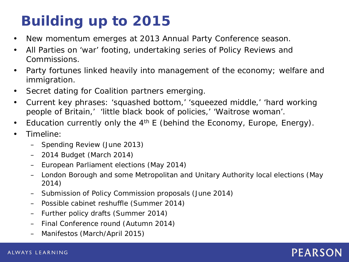# **Building up to 2015**

- New momentum emerges at 2013 Annual Party Conference season.
- All Parties on 'war' footing, undertaking series of Policy Reviews and Commissions.
- Party fortunes linked heavily into management of the economy; welfare and immigration.
- Secret dating for Coalition partners emerging.
- Current key phrases: 'squashed bottom,' 'squeezed middle,' 'hard working people of Britain,' 'little black book of policies,' 'Waitrose woman'.
- Education currently only the  $4<sup>th</sup>$  E (behind the Economy, Europe, Energy).
- Timeline:
	- Spending Review (June 2013)
	- 2014 Budget (March 2014)
	- European Parliament elections (May 2014)
	- London Borough and some Metropolitan and Unitary Authority local elections (May 2014)
	- Submission of Policy Commission proposals (June 2014)
	- Possible cabinet reshuffle (Summer 2014)
	- Further policy drafts (Summer 2014)
	- Final Conference round (Autumn 2014)
	- Manifestos (March/April 2015)